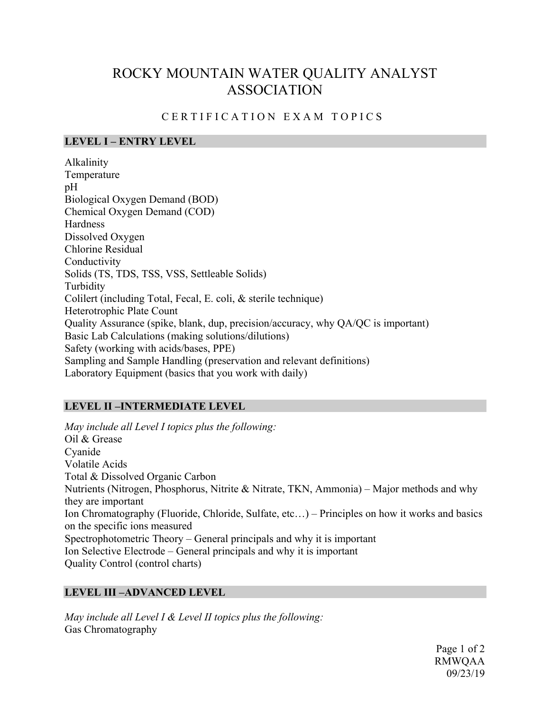# ROCKY MOUNTAIN WATER QUALITY ANALYST ASSOCIATION

## CERTIFICATION EXAM TOPICS

#### **LEVEL I – ENTRY LEVEL**

Alkalinity Temperature pH Biological Oxygen Demand (BOD) Chemical Oxygen Demand (COD) **Hardness** Dissolved Oxygen Chlorine Residual Conductivity Solids (TS, TDS, TSS, VSS, Settleable Solids) Turbidity Colilert (including Total, Fecal, E. coli, & sterile technique) Heterotrophic Plate Count Quality Assurance (spike, blank, dup, precision/accuracy, why QA/QC is important) Basic Lab Calculations (making solutions/dilutions) Safety (working with acids/bases, PPE) Sampling and Sample Handling (preservation and relevant definitions) Laboratory Equipment (basics that you work with daily)

### **LEVEL II –INTERMEDIATE LEVEL**

*May include all Level I topics plus the following:* Oil & Grease Cyanide Volatile Acids Total & Dissolved Organic Carbon Nutrients (Nitrogen, Phosphorus, Nitrite & Nitrate, TKN, Ammonia) – Major methods and why they are important Ion Chromatography (Fluoride, Chloride, Sulfate, etc…) – Principles on how it works and basics on the specific ions measured Spectrophotometric Theory – General principals and why it is important Ion Selective Electrode – General principals and why it is important Quality Control (control charts)

### **LEVEL III –ADVANCED LEVEL**

*May include all Level I & Level II topics plus the following:* Gas Chromatography

> Page 1 of 2 RMWQAA 09/23/19